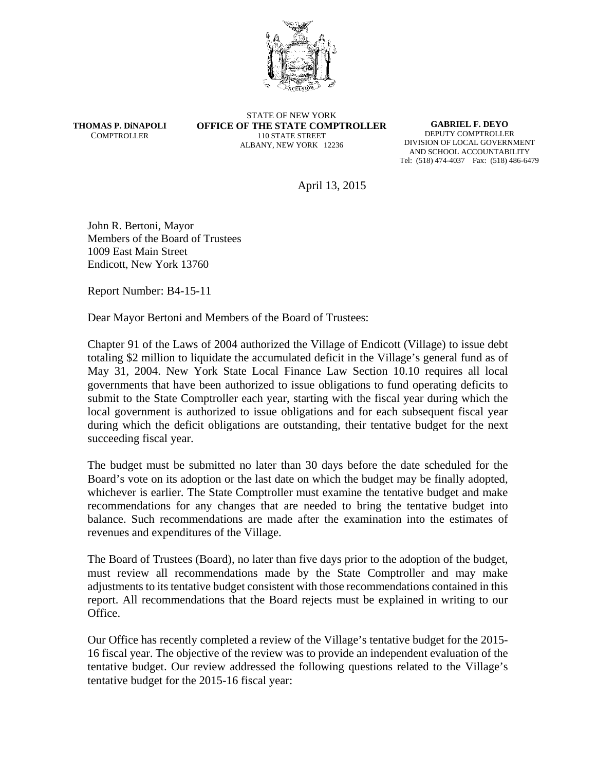

**THOMAS P. DiNAPOLI** COMPTROLLER

STATE OF NEW YORK **OFFICE OF THE STATE COMPTROLLER** 110 STATE STREET ALBANY, NEW YORK 12236

**GABRIEL F. DEYO** DEPUTY COMPTROLLER DIVISION OF LOCAL GOVERNMENT AND SCHOOL ACCOUNTABILITY Tel: (518) 474-4037 Fax: (518) 486-6479

April 13, 2015

John R. Bertoni, Mayor Members of the Board of Trustees 1009 East Main Street Endicott, New York 13760

Report Number: B4-15-11

Dear Mayor Bertoni and Members of the Board of Trustees:

Chapter 91 of the Laws of 2004 authorized the Village of Endicott (Village) to issue debt totaling \$2 million to liquidate the accumulated deficit in the Village's general fund as of May 31, 2004. New York State Local Finance Law Section 10.10 requires all local governments that have been authorized to issue obligations to fund operating deficits to submit to the State Comptroller each year, starting with the fiscal year during which the local government is authorized to issue obligations and for each subsequent fiscal year during which the deficit obligations are outstanding, their tentative budget for the next succeeding fiscal year.

The budget must be submitted no later than 30 days before the date scheduled for the Board's vote on its adoption or the last date on which the budget may be finally adopted, whichever is earlier. The State Comptroller must examine the tentative budget and make recommendations for any changes that are needed to bring the tentative budget into balance. Such recommendations are made after the examination into the estimates of revenues and expenditures of the Village.

The Board of Trustees (Board), no later than five days prior to the adoption of the budget, must review all recommendations made by the State Comptroller and may make adjustments to its tentative budget consistent with those recommendations contained in this report. All recommendations that the Board rejects must be explained in writing to our Office.

Our Office has recently completed a review of the Village's tentative budget for the 2015- 16 fiscal year. The objective of the review was to provide an independent evaluation of the tentative budget. Our review addressed the following questions related to the Village's tentative budget for the 2015-16 fiscal year: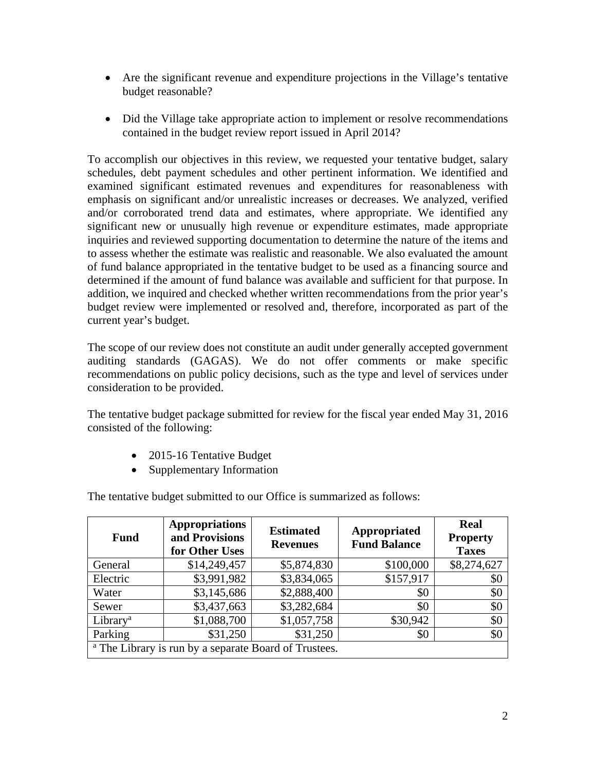- Are the significant revenue and expenditure projections in the Village's tentative budget reasonable?
- Did the Village take appropriate action to implement or resolve recommendations contained in the budget review report issued in April 2014?

To accomplish our objectives in this review, we requested your tentative budget, salary schedules, debt payment schedules and other pertinent information. We identified and examined significant estimated revenues and expenditures for reasonableness with emphasis on significant and/or unrealistic increases or decreases. We analyzed, verified and/or corroborated trend data and estimates, where appropriate. We identified any significant new or unusually high revenue or expenditure estimates, made appropriate inquiries and reviewed supporting documentation to determine the nature of the items and to assess whether the estimate was realistic and reasonable. We also evaluated the amount of fund balance appropriated in the tentative budget to be used as a financing source and determined if the amount of fund balance was available and sufficient for that purpose. In addition, we inquired and checked whether written recommendations from the prior year's budget review were implemented or resolved and, therefore, incorporated as part of the current year's budget.

The scope of our review does not constitute an audit under generally accepted government auditing standards (GAGAS). We do not offer comments or make specific recommendations on public policy decisions, such as the type and level of services under consideration to be provided.

The tentative budget package submitted for review for the fiscal year ended May 31, 2016 consisted of the following:

- 2015-16 Tentative Budget
- Supplementary Information

| <b>Fund</b>                                                      | <b>Appropriations</b><br>and Provisions<br>for Other Uses | <b>Estimated</b><br><b>Revenues</b> | Appropriated<br><b>Fund Balance</b> | <b>Real</b><br><b>Property</b><br><b>Taxes</b> |
|------------------------------------------------------------------|-----------------------------------------------------------|-------------------------------------|-------------------------------------|------------------------------------------------|
| General                                                          | \$14,249,457                                              | \$5,874,830                         | \$100,000                           | \$8,274,627                                    |
| Electric                                                         | \$3,991,982                                               | \$3,834,065                         | \$157,917                           | \$0                                            |
| Water                                                            | \$3,145,686                                               | \$2,888,400                         | \$0                                 | \$0                                            |
| Sewer                                                            | \$3,437,663                                               | \$3,282,684                         | \$0                                 | \$0                                            |
| Library <sup>a</sup>                                             | \$1,088,700                                               | \$1,057,758                         | \$30,942                            | \$0                                            |
| Parking                                                          | \$31,250                                                  | \$31,250                            | \$0                                 | \$0                                            |
| <sup>a</sup> The Library is run by a separate Board of Trustees. |                                                           |                                     |                                     |                                                |

The tentative budget submitted to our Office is summarized as follows: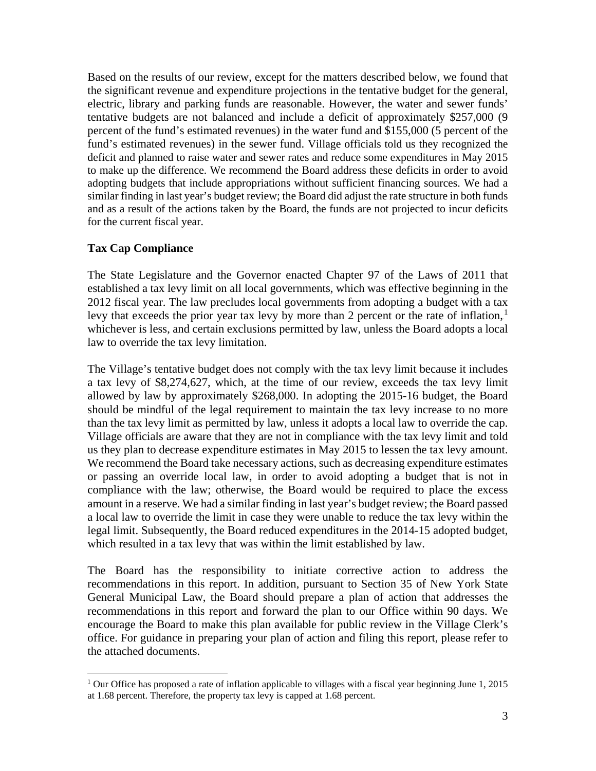Based on the results of our review, except for the matters described below, we found that the significant revenue and expenditure projections in the tentative budget for the general, electric, library and parking funds are reasonable. However, the water and sewer funds' tentative budgets are not balanced and include a deficit of approximately \$257,000 (9 percent of the fund's estimated revenues) in the water fund and \$155,000 (5 percent of the fund's estimated revenues) in the sewer fund. Village officials told us they recognized the deficit and planned to raise water and sewer rates and reduce some expenditures in May 2015 to make up the difference. We recommend the Board address these deficits in order to avoid adopting budgets that include appropriations without sufficient financing sources. We had a similar finding in last year's budget review; the Board did adjust the rate structure in both funds and as a result of the actions taken by the Board, the funds are not projected to incur deficits for the current fiscal year.

## **Tax Cap Compliance**

 $\overline{a}$ 

The State Legislature and the Governor enacted Chapter 97 of the Laws of 2011 that established a tax levy limit on all local governments, which was effective beginning in the 2012 fiscal year. The law precludes local governments from adopting a budget with a tax levy that exceeds the prior year tax levy by more than 2 percent or the rate of inflation, $<sup>1</sup>$ </sup> whichever is less, and certain exclusions permitted by law, unless the Board adopts a local law to override the tax levy limitation.

The Village's tentative budget does not comply with the tax levy limit because it includes a tax levy of \$8,274,627, which, at the time of our review, exceeds the tax levy limit allowed by law by approximately \$268,000. In adopting the 2015-16 budget, the Board should be mindful of the legal requirement to maintain the tax levy increase to no more than the tax levy limit as permitted by law, unless it adopts a local law to override the cap. Village officials are aware that they are not in compliance with the tax levy limit and told us they plan to decrease expenditure estimates in May 2015 to lessen the tax levy amount. We recommend the Board take necessary actions, such as decreasing expenditure estimates or passing an override local law, in order to avoid adopting a budget that is not in compliance with the law; otherwise, the Board would be required to place the excess amount in a reserve. We had a similar finding in last year's budget review; the Board passed a local law to override the limit in case they were unable to reduce the tax levy within the legal limit. Subsequently, the Board reduced expenditures in the 2014-15 adopted budget, which resulted in a tax levy that was within the limit established by law.

The Board has the responsibility to initiate corrective action to address the recommendations in this report. In addition, pursuant to Section 35 of New York State General Municipal Law, the Board should prepare a plan of action that addresses the recommendations in this report and forward the plan to our Office within 90 days. We encourage the Board to make this plan available for public review in the Village Clerk's office. For guidance in preparing your plan of action and filing this report, please refer to the attached documents.

<sup>1</sup> Our Office has proposed a rate of inflation applicable to villages with a fiscal year beginning June 1, 2015 at 1.68 percent. Therefore, the property tax levy is capped at 1.68 percent.